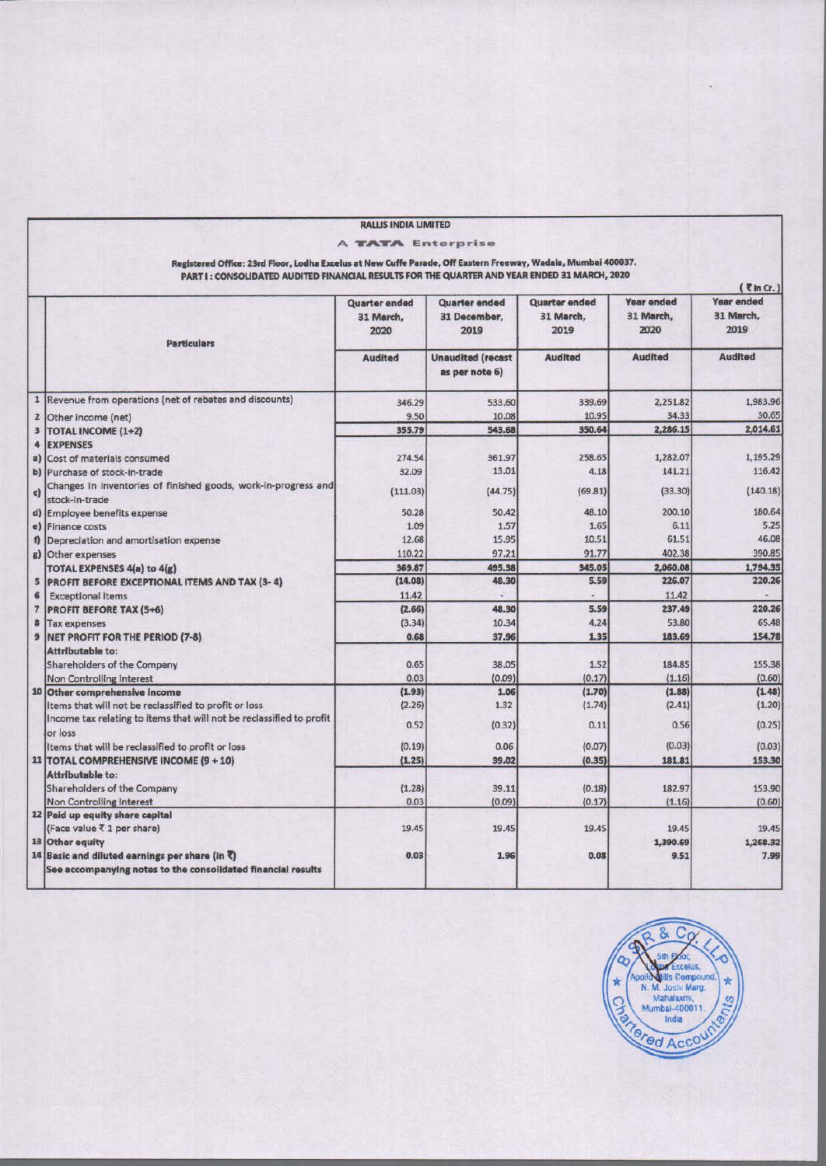|                |                                                                                                                                                                                                               | <b>RALLIS INDIA LIMITED</b> |                          |                      |                  |                                 |
|----------------|---------------------------------------------------------------------------------------------------------------------------------------------------------------------------------------------------------------|-----------------------------|--------------------------|----------------------|------------------|---------------------------------|
|                |                                                                                                                                                                                                               | <b>A TATA Enterprise</b>    |                          |                      |                  |                                 |
|                |                                                                                                                                                                                                               |                             |                          |                      |                  |                                 |
|                | Registered Office: 23rd Floor, Lodha Excelus at New Cuffe Parade, Off Eastern Freeway, Wadala, Mumbai 400037.<br>PART I: CONSOLIDATED AUDITED FINANCIAL RESULTS FOR THE QUARTER AND YEAR ENDED 31 MARCH, 2020 |                             |                          |                      |                  |                                 |
|                |                                                                                                                                                                                                               |                             |                          |                      |                  | $\left($ \text{in Cr. $\right)$ |
|                |                                                                                                                                                                                                               | <b>Quarter ended</b>        | Quarter ended            | <b>Quarter ended</b> | Year ended       | Year ended                      |
|                |                                                                                                                                                                                                               | 31 March,                   | 31 December,             | 31 March,            | 31 March,        | 31 March,                       |
|                |                                                                                                                                                                                                               | 2020                        | 2019                     | 2019                 | 2020             | 2019                            |
|                | <b>Particulars</b>                                                                                                                                                                                            |                             |                          |                      |                  |                                 |
|                |                                                                                                                                                                                                               | <b>Audited</b>              | <b>Unaudited</b> (recast | <b>Audited</b>       | <b>Audited</b>   | <b>Audited</b>                  |
|                |                                                                                                                                                                                                               |                             | as per note 6)           |                      |                  |                                 |
|                |                                                                                                                                                                                                               |                             |                          |                      |                  |                                 |
|                | 1 Revenue from operations (net of rebates and discounts)                                                                                                                                                      | 346.29                      | 533.60                   | 339.69               | 2,251.82         | 1,983.96                        |
|                | 2 Other income (net)                                                                                                                                                                                          | 9.50                        | 10.08                    | 10.95                | 34.33            | 30.65                           |
|                | 3 TOTAL INCOME (1+2)                                                                                                                                                                                          | 355.79                      | 543.68                   | 350.64               | 2,286.15         | 2,014.61                        |
|                | 4 EXPENSES                                                                                                                                                                                                    |                             |                          |                      |                  |                                 |
|                | a) Cost of materials consumed                                                                                                                                                                                 | 274.54                      | 361.97                   | 258.65               | 1,282.07         | 1,195.29                        |
|                | b) Purchase of stock-in-trade                                                                                                                                                                                 | 32.09                       | 13.01                    | 4.18                 | 141.21           | 116.42                          |
| c)             | Changes in inventories of finished goods, work-in-progress and                                                                                                                                                | (111.03)                    | (44.75)                  | (69.81)              | (33.30)          | (140.18)                        |
|                | stock-in-trade                                                                                                                                                                                                |                             |                          |                      |                  |                                 |
|                | d) Employee benefits expense                                                                                                                                                                                  | 50.28                       | 50.42                    | 48.10                | 200.10           | 180.64                          |
|                | e) Finance costs                                                                                                                                                                                              | 1.09                        | 1.57                     | 1.65                 | 6.11             | 5.25                            |
|                | f) Depreciation and amortisation expense                                                                                                                                                                      | 12.68                       | 15.95                    | 10.51                | 61.51            | 46.08                           |
|                | g) Other expenses                                                                                                                                                                                             | 110.22                      | 97.21                    | 91.77                | 402.38           | 390.85                          |
|                | <b>TOTAL EXPENSES 4(a) to 4(g)</b>                                                                                                                                                                            | 369.87                      | 495.38                   | 345.05               | 2,060.08         | 1,794.35                        |
|                | 5 PROFIT BEFORE EXCEPTIONAL ITEMS AND TAX (3-4)                                                                                                                                                               | (14.08)                     | 48.30                    | 5.59                 | 226.07           | 220.26                          |
| 6 <sup>1</sup> | <b>Exceptional items</b>                                                                                                                                                                                      | 11.42                       |                          |                      | 11.42            |                                 |
|                | 7   PROFIT BEFORE TAX (5+6)                                                                                                                                                                                   | (2.66)                      | 48.30                    | 5.59                 | 237.49           | 220.26                          |
|                | 8 Tax expenses                                                                                                                                                                                                | (3.34)                      | 10.34                    | 4.24                 | 53.80            | 65.48                           |
|                | 9 NET PROFIT FOR THE PERIOD (7-8)                                                                                                                                                                             | 0.68                        | 37.96                    | 1.35                 | 183.69           | 154.78                          |
|                | Attributable to:                                                                                                                                                                                              |                             |                          |                      |                  |                                 |
|                | Shareholders of the Company                                                                                                                                                                                   | 0.65                        | 38.05                    | 1.52                 | 184.85           | 155.38                          |
|                | Non Controlling Interest                                                                                                                                                                                      | 0.03                        | (0.09)                   | (0.17)               | (1.16)           | (0.60)                          |
|                | 10 Other comprehensive income                                                                                                                                                                                 | (1.93)                      | 1.06                     | (1.70)               | (1.88)           | (1.48)                          |
|                | Items that will not be reclassified to profit or loss                                                                                                                                                         | (2.26)                      | 1.32                     | (1.74)               | (2.41)           | (1.20)                          |
|                | Income tax relating to items that will not be reclassified to profit                                                                                                                                          | 0.52                        | (0.32)                   | 0.11                 | 0.56             | (0.25)                          |
|                | or loss                                                                                                                                                                                                       |                             |                          |                      | (0.03)           |                                 |
|                | Items that will be reclassified to profit or loss                                                                                                                                                             | (0.19)                      | 0.06                     | (0.07)               |                  | (0.03)                          |
|                | 11   TOTAL COMPREHENSIVE INCOME (9 + 10)                                                                                                                                                                      | (1.25)                      | 39.02                    | (0.35)               | 181.81           | 153.30                          |
|                | Attributable to:                                                                                                                                                                                              |                             |                          |                      |                  |                                 |
|                | Shareholders of the Company<br>Non Controlling Interest                                                                                                                                                       | (1.28)<br>0.03              | 39.11<br>(0.09)          | (0.18)<br>(0.17)     | 182.97<br>(1.16) | 153.90<br>(0.60)                |
|                | 12 Paid up equity share capital                                                                                                                                                                               |                             |                          |                      |                  |                                 |
|                | (Face value ₹ 1 per share)                                                                                                                                                                                    | 19.45                       | 19.45                    | 19.45                | 19.45            | 19.45                           |
|                | 13 Other equity                                                                                                                                                                                               |                             |                          |                      | 1,390.69         | 1,268.32                        |
|                | 14 Basic and diluted earnings per share (in $\ell$ )                                                                                                                                                          | 0.03                        | 1.96                     | 0.08                 | 9.51             | 7.99                            |
|                | See accompanying notes to the consolidated financial results                                                                                                                                                  |                             |                          |                      |                  |                                 |
|                |                                                                                                                                                                                                               |                             |                          |                      |                  |                                 |

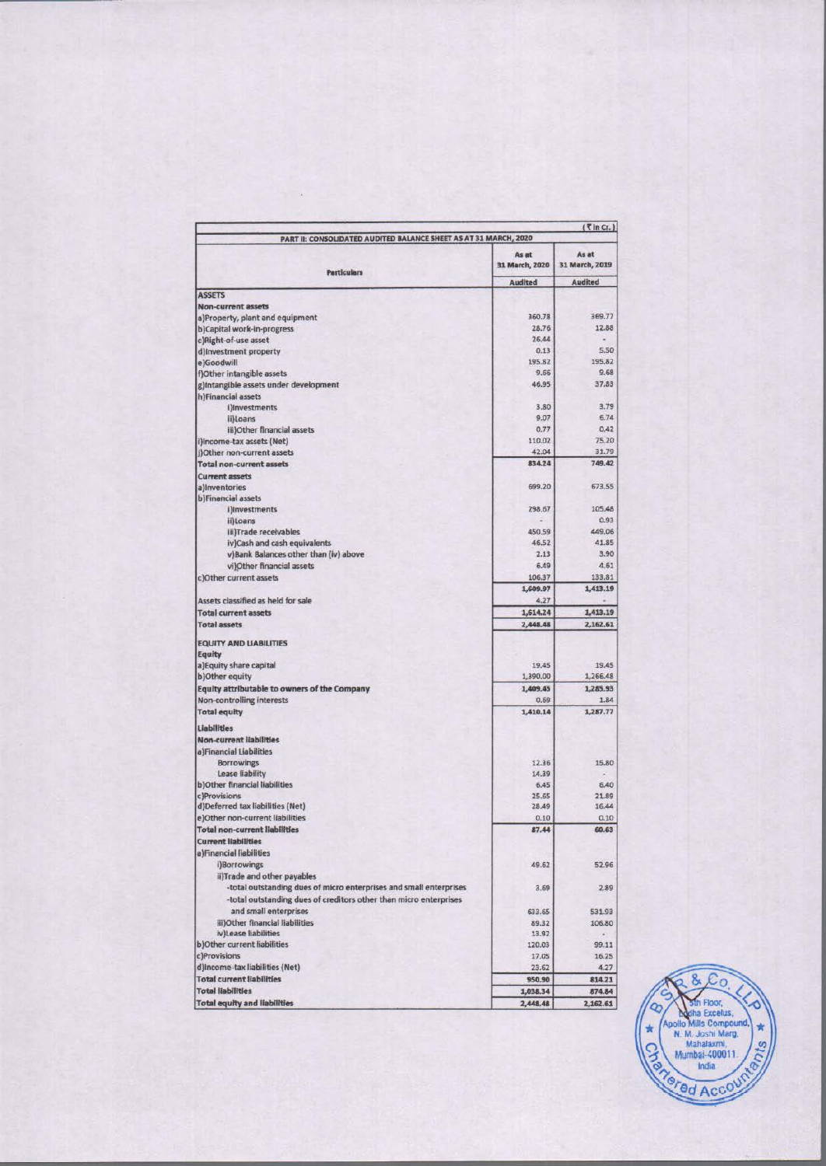|                                                                    |                         | $(7$ in Cr. $)$         |  |
|--------------------------------------------------------------------|-------------------------|-------------------------|--|
| PART II: CONSOLIDATED AUDITED BALANCE SHEET AS AT 31 MARCH, 2020   |                         |                         |  |
| <b>Particulars</b>                                                 | As at<br>31 March, 2020 | As at<br>31 March, 2019 |  |
|                                                                    | <b>Audited</b>          | Audited                 |  |
| <b>ASSETS</b>                                                      |                         |                         |  |
| Non-current assets                                                 |                         |                         |  |
| a)Property, plant and equipment                                    | 360.78                  | 369.77                  |  |
| b)Capital work-in-progress                                         | 28.76                   | 12.88                   |  |
| c)Right-of-use asset                                               | 26.44                   |                         |  |
| d) Investment property                                             | 0.13<br>195.82          | 5.50<br>195.82          |  |
| e)Goodwill                                                         | 9.66                    | 9.68                    |  |
| f)Other intangible assets                                          | 46.95                   | 37.83                   |  |
| g)Intangible assets under development<br>h)Financial assets        |                         |                         |  |
| i)Investments                                                      | 3.80                    | 3.79                    |  |
| ii)Loans                                                           | 9.07                    | 6.74                    |  |
| iii)Other financial assets                                         | 0.77                    | 0.42                    |  |
| i)Income-tax assets (Net)                                          | 110.02                  | 75.20                   |  |
| i)Other non-current assets                                         | 42.04                   | 31.79                   |  |
| <b>Total non-current assets</b>                                    | 834.24                  | 749.42                  |  |
| <b>Current assets</b>                                              |                         |                         |  |
| a) Inventories                                                     | 699.20                  | 673.55                  |  |
| b)Financial assets                                                 |                         |                         |  |
| i)Investments                                                      | 298.67                  | 105.48                  |  |
| ii)Loans                                                           |                         | 0.93                    |  |
| iii)Trade receivables                                              | 450.59                  | 449.06                  |  |
| iv)Cash and cash equivalents                                       | 46.52                   | 41.85                   |  |
| v)Bank Balances other than (iv) above                              | 2.13                    | 3.90                    |  |
| vi)Other financial assets                                          | 6.49                    | 4.61                    |  |
| c)Other current assets                                             | 106.37                  | 133.81                  |  |
|                                                                    | 1,609.97                | 1,413.19                |  |
| Assets classified as held for sale                                 | 4.27                    |                         |  |
| <b>Total current assets</b>                                        | 1,614.24                | 1,413.19                |  |
| <b>Total assets</b>                                                | 2,448.48                | 2,162.61                |  |
|                                                                    |                         |                         |  |
| <b>EQUITY AND LIABILITIES</b><br>Equity                            |                         |                         |  |
| a) Equity share capital                                            | 19.45                   | 19.45                   |  |
| b) Other equity                                                    | 1,390.00                | 1,266.48                |  |
| Equity attributable to owners of the Company                       | 1,409.45                | 1,285.93                |  |
| Non-controlling interests                                          | 0.69                    | 1.84                    |  |
| <b>Total equity</b>                                                | 1,410.14                | 1,287.77                |  |
| Liabilities                                                        |                         |                         |  |
| <b>Non-current liabilities</b>                                     |                         |                         |  |
| a)Financial Liabilities                                            |                         |                         |  |
| <b>Borrowings</b>                                                  | 12.36                   | 15.80                   |  |
| Lease liability                                                    | 14.39                   |                         |  |
| b) Other financial liabilities                                     | 6.45                    | 6,40                    |  |
| c)Provisions                                                       | 25.65                   | 21.89                   |  |
| d)Deferred tax liabilities (Net)                                   | 28.49                   | 16.44                   |  |
| e)Other non-current liabilities                                    | 0.10                    | 0.10                    |  |
| <b>Total non-current liabilities</b>                               | 87.44                   | 60.63                   |  |
| <b>Current Habilities</b>                                          |                         |                         |  |
| a)Financial liabilities                                            |                         |                         |  |
| i)Borrowings                                                       | 49.62                   | 52.96                   |  |
| ii)Trade and other payables                                        |                         |                         |  |
| -total outstanding dues of micro enterprises and small enterprises | 3.69                    | 2.89                    |  |
| -total outstanding dues of creditors other than micro enterprises  |                         |                         |  |
| and small enterprises                                              | 633.65                  | 531.93                  |  |
| iii)Other financial liabilities                                    | 89.32                   | 106.80                  |  |
| iv)Lease liabilities                                               | 13.92                   |                         |  |
| b)Other current liabilities                                        | 120.03                  | 99.11                   |  |
| c)Provisions                                                       | 17.05                   | 16.25                   |  |
| d)Income-tax liabilities (Net)                                     | 23.62                   | 4.27                    |  |
| <b>Total current liabilities</b>                                   | 950.90                  | 814.21                  |  |
| <b>Total liabilities</b>                                           | 1,038.34                | 874.84                  |  |
| <b>Total equity and liabilities</b>                                | 2,448.48                | 2,162.61                |  |

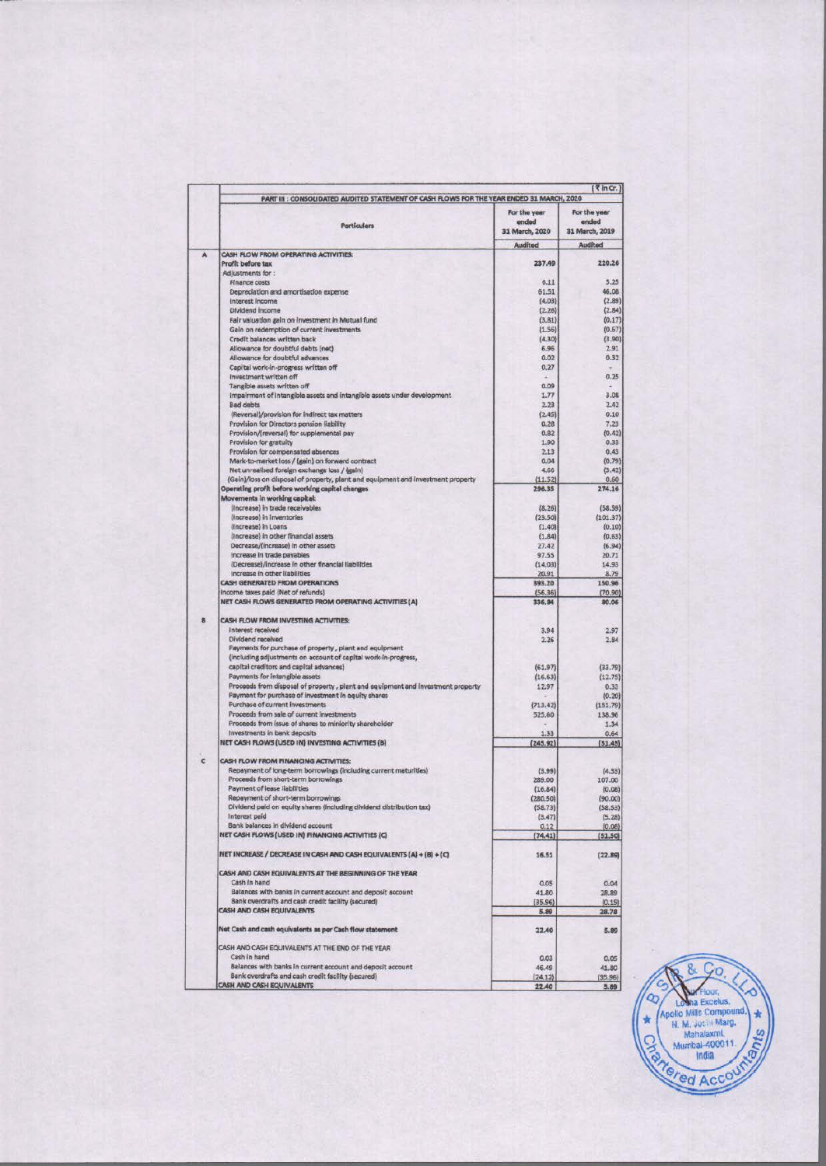|   | PART III : CONSOLIDATED AUDITED STATEMENT OF CASH FLOWS FOR THE YEAR ENDED 31 MARCH, 2020    |                       | $\left\{ \vec{x} \ln G_r \right\}$ |  |
|---|----------------------------------------------------------------------------------------------|-----------------------|------------------------------------|--|
|   | Particulars                                                                                  | For the year<br>ended | For the year<br>ended              |  |
|   |                                                                                              | 31 March, 2020        | 31 March, 2019                     |  |
| A | CASH FLOW FROM OPERATING ACTIVITIES:                                                         | Audited               | Audited                            |  |
|   | Profit before tax                                                                            | 237.49                | 220.26                             |  |
|   | Adjustments for:                                                                             |                       |                                    |  |
|   | Finance costs                                                                                | 6.11                  | 5.25                               |  |
|   | Depreciation and amortisation expense                                                        | 61.51                 | 46.08                              |  |
|   | Interest Income                                                                              | (4.03)                | (2.89)                             |  |
|   | Dividend Income                                                                              | (2.26)                | (2.84)                             |  |
|   | Fair valuation gain on investment in Mutual fund                                             | (3.81)                | (0.17)                             |  |
|   | Gain on redemption of current investments                                                    | (1.56)                | (0.67)                             |  |
|   | Credit balances written back                                                                 | (4.30)                | (3.90)                             |  |
|   | Allowance for doubtful debts (net)                                                           | 6.96                  | 2.91                               |  |
|   | Allowance for doubtful advances                                                              | 0.02                  | 0.32                               |  |
|   | Capital work-in-progress written off                                                         | 0,27                  |                                    |  |
|   | Investment written off                                                                       |                       | 0.25                               |  |
|   | Tangible assets written off                                                                  | 0.09                  |                                    |  |
|   | Impairment of intangible assets and intangible assets under development.                     | 1.77                  | 3.08                               |  |
|   | <b>Bad debts</b>                                                                             | 2.23                  | 2.42                               |  |
|   | (Reversal)/provision for indirect tax matters                                                | (2.45)                | 0.10                               |  |
|   | Provision for Directors pension liability                                                    | 0.28                  | 7.23                               |  |
|   | Provision/(reversal) for supplemental pay                                                    | 0.82                  | (0.42)                             |  |
|   | Provision for gratuity                                                                       | 1.90                  | 0.33                               |  |
|   | Provision for compensated absences                                                           | 2.13                  | 0.43                               |  |
|   | Mark-to-market loss / (gain) on forward contract                                             | 0.04                  | (0.79)                             |  |
|   | Net unrealised foreign exchange loss / (gain)                                                | 4,66                  | (3.42)                             |  |
|   | (Gain)/loss on disposal of property, plant and equipment and investment property             | (11.52)               | 0.60                               |  |
|   | Operating profit before working capital changes                                              | 296.35                | 274.16                             |  |
|   | Movements in working capital:                                                                |                       |                                    |  |
|   | (Increase) in trade receivables                                                              | (8.26)                | (58.59)                            |  |
|   | (Increase) in Inventories                                                                    | (23.50)               | (101.37)                           |  |
|   | (Increase) in Loans                                                                          | (1.40)                | (0.10)                             |  |
|   | (Increase) in other financial assets                                                         | (1.84)                | (0.63)                             |  |
|   | Decrease/(increase) in other assets                                                          | 27.42                 | (6.94)                             |  |
|   | Increase in trade payables                                                                   |                       |                                    |  |
|   |                                                                                              | 97.55                 | 20.71                              |  |
|   | (Decrease)/increase in other financial liabilities<br>Increase in other liabilities          | (14.03)               | 14.93                              |  |
|   |                                                                                              | 20.91                 | 8.79                               |  |
|   | <b>CASH GENERATED FROM OPERATIONS</b>                                                        | 393.20                | 150.96                             |  |
|   | Income taxes paid (Net of refunds)<br>NET CASH FLOWS GENERATED FROM OPERATING ACTIVITIES (A) | (56.36)<br>336,84     | (70.90)<br>80.06                   |  |
|   |                                                                                              |                       |                                    |  |
|   | CASH FLOW FROM INVESTING ACTIVITIES:                                                         |                       |                                    |  |
|   | Interest received                                                                            | 3,94                  | 2.97                               |  |
|   | Dividend received                                                                            | 2.26                  | 2.84                               |  |
|   | Payments for purchase of property, plant and equipment                                       |                       |                                    |  |
|   | (including adjustments on account of capital work-in-progress,                               |                       |                                    |  |
|   | capital creditors and capital advances)                                                      | (61.97)               | (33.79)                            |  |
|   | Payments for intangible assets                                                               | (16.63)               | (12.75)                            |  |
|   | Proceeds from disposal of property, plant and equipment and investment property              | 12.97                 | 0.33                               |  |
|   | Payment for purchase of investment in equity shares                                          |                       | (0.20)                             |  |
|   | Purchase of current investments                                                              | (713.42)              | (151.79)                           |  |
|   | Proceeds from sale of current investments                                                    | 525.60                | 138.96                             |  |
|   | Proceeds from issue of shares to miniority shareholder                                       |                       | 1.34                               |  |
|   | Investments in bank deposits                                                                 | 1.33                  | 0.64                               |  |
|   | NET CASH FLOWS (USED IN) INVESTING ACTIVITIES (B)                                            | (245.92)              | (51.45)                            |  |
|   |                                                                                              |                       |                                    |  |
|   | CASH FLOW FROM FINANCING ACTIVITIES:                                                         |                       |                                    |  |
|   | Repayment of long-term borrowings (including current maturities)                             | (3.99)                | (4.53)                             |  |
|   | Proceeds from shart-term borrowings                                                          | 289.00                | 107.00                             |  |
|   | Payment of lease Ilabilities                                                                 | (16.84)               | (0.08)                             |  |
|   | Repayment of short-term borrowings                                                           | (280.50)              | (90.00)                            |  |
|   | Dividend paid on equity shares (including dividend distribution tax)                         | (58.73)               | (58.53)                            |  |
|   | Interest paid                                                                                | (3.47)                | (5.28)                             |  |
|   | Bank balances in dividend account                                                            | 0.12                  | (0.08)                             |  |
|   | NET CASH FLOWS (USED IN) FINANCING ACTIVITIES (C)                                            | (74.41)               | (51.50)                            |  |
|   |                                                                                              |                       |                                    |  |
|   | NET INCREASE / DECREASE IN CASH AND CASH EQUIVALENTS (A) + (B) + (C)                         | 16.51                 | (22.89)                            |  |
|   | CASH AND CASH EQUIVALENTS AT THE BEGINNING OF THE YEAR                                       |                       |                                    |  |
|   | Cash in hand                                                                                 | 0.05                  | 0.04                               |  |
|   | Balances with banks in current account and deposit account                                   | 41.80                 | 28,89                              |  |
|   | Bank overdrafts and cash credit facility (secured)                                           | (35.96)               | (0.15)                             |  |
|   | CASH AND CASH EQUIVALENTS                                                                    | 5.89                  | 28.78                              |  |
|   | Net Cash and cash equivalents as per Cash flow statement                                     |                       |                                    |  |
|   |                                                                                              | 22.40                 | 5.89                               |  |
|   | CASH AND CASH EQUIVALENTS AT THE END OF THE YEAR                                             |                       |                                    |  |
|   | Cash in hand                                                                                 | 0.03                  | 0.05                               |  |
|   | Balances with banks in current account and deposit account                                   | 46.49                 | 41.80                              |  |
|   | Bank overdrafts and cash credit facility (secured)                                           | (24.12)               | (35.96)                            |  |
|   | <b>CASH AND CASH EQUIVALENTS</b>                                                             | 22.40                 | 5.89                               |  |